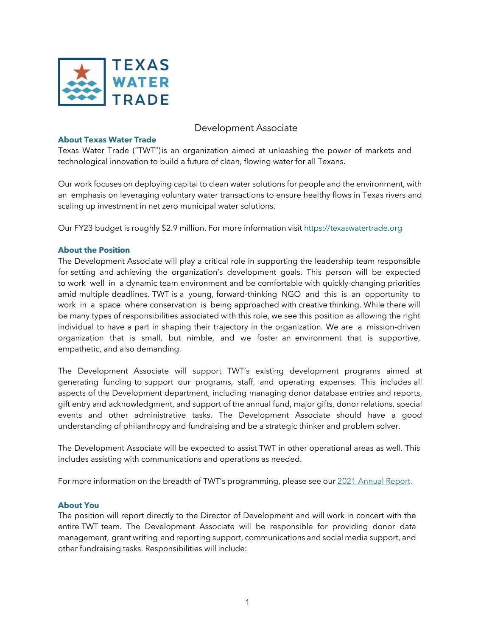

## Development Associate

## **About Texas Water Trade**

Texas Water Trade ("TWT")is an organization aimed at unleashing the power of markets and technological innovation to build a future of clean, flowing water for all Texans.

Our work focuses on deploying capital to clean water solutions for people and the environment, with an emphasis on leveraging voluntary water transactions to ensure healthy flows in Texas rivers and scaling up investment in net zero municipal water solutions.

Our FY23 budget is roughly \$2.9 million. For more information visit <https://texaswatertrade.org>

### **About the Position**

The Development Associate will play a critical role in supporting the leadership team responsible for setting and achieving the organization's development goals. This person will be expected to work well in a dynamic team environment and be comfortable with quickly-changing priorities amid multiple deadlines. TWT is a young, forward-thinking NGO and this is an opportunity to work in a space where conservation is being approached with creative thinking. While there will be many types of responsibilities associated with this role, we see this position as allowing the right individual to have a part in shaping their trajectory in the organization. We are a mission-driven organization that is small, but nimble, and we foster an environment that is supportive, empathetic, and also demanding.

The Development Associate will support TWT's existing development programs aimed at generating funding to support our programs, staff, and operating expenses. This includes all aspects of the Development department, including managing donor database entries and reports, gift entry and acknowledgment, and support of the annual fund, major gifts, donor relations, special events and other administrative tasks. The Development Associate should have a good understanding of philanthropy and fundraising and be a strategic thinker and problem solver.

The Development Associate will be expected to assist TWT in other operational areas as well. This includes assisting with communications and operations as needed.

For more information on the breadth of TWT's programming, please see our 2021 [Annual](https://texaswatertrade.org/wp-content/uploads/2021/11/TWT_Annual-Report_2021.pdf) Report.

#### **About You**

The position will report directly to the Director of Development and will work in concert with the entire TWT team. The Development Associate will be responsible for providing donor data management, grant writing and reporting support, communications and social media support, and other fundraising tasks. Responsibilities will include: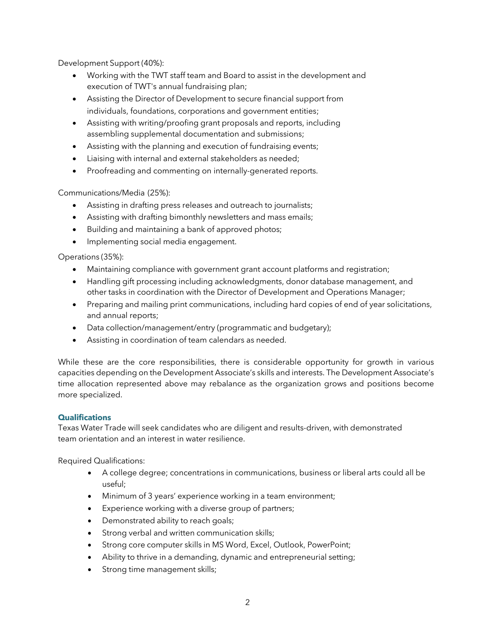Development Support (40%):

- Working with the TWT staff team and Board to assist in the development and execution of TWT's annual fundraising plan;
- Assisting the Director of Development to secure financial support from individuals, foundations, corporations and government entities;
- Assisting with writing/proofing grant proposals and reports, including assembling supplemental documentation and submissions;
- Assisting with the planning and execution of fundraising events;
- Liaising with internal and external stakeholders as needed;
- Proofreading and commenting on internally-generated reports.

Communications/Media (25%):

- Assisting in drafting press releases and outreach to journalists;
- Assisting with drafting bimonthly newsletters and mass emails;
- Building and maintaining a bank of approved photos;
- Implementing social media engagement.

Operations (35%):

- Maintaining compliance with government grant account platforms and registration;
- Handling gift processing including acknowledgments, donor database management, and other tasks in coordination with the Director of Development and Operations Manager;
- Preparing and mailing print communications, including hard copies of end of year solicitations, and annual reports;
- Data collection/management/entry (programmatic and budgetary);
- Assisting in coordination of team calendars as needed.

While these are the core responsibilities, there is considerable opportunity for growth in various capacities depending on the Development Associate's skills and interests. The Development Associate's time allocation represented above may rebalance as the organization grows and positions become more specialized.

## **Qualifications**

Texas Water Trade will seek candidates who are diligent and results-driven, with demonstrated team orientation and an interest in water resilience.

Required Qualifications:

- A college degree; concentrations in communications, business or liberal arts could all be useful;
- Minimum of 3 years' experience working in a team environment;
- Experience working with a diverse group of partners;
- Demonstrated ability to reach goals;
- Strong verbal and written communication skills;
- Strong core computer skills in MS Word, Excel, Outlook, PowerPoint;
- Ability to thrive in a demanding, dynamic and entrepreneurial setting;
- Strong time management skills;